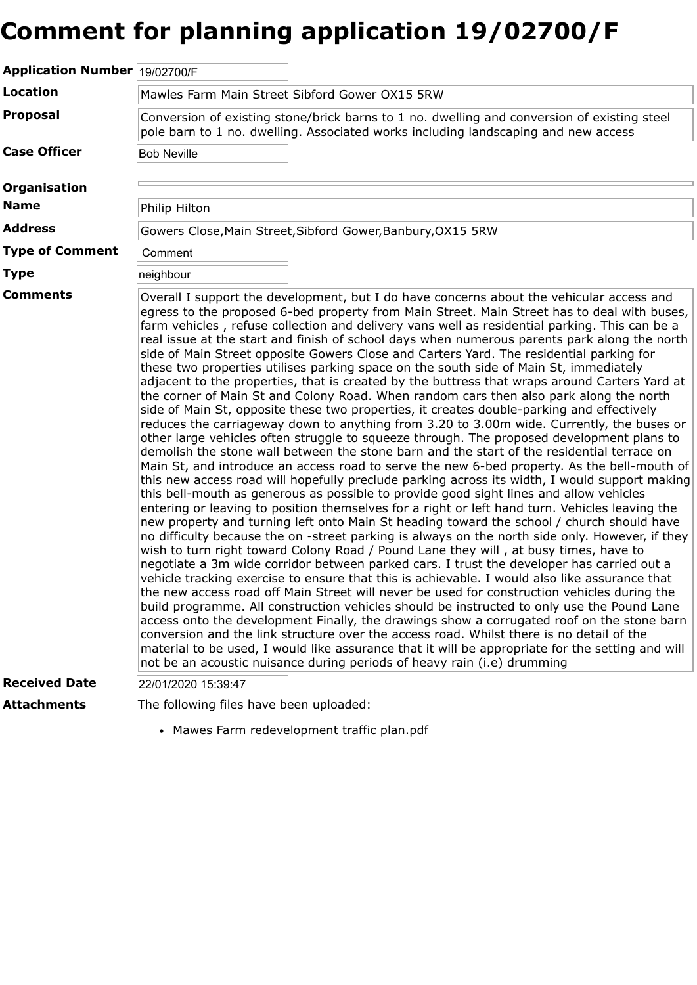## **Comment for planning application 19/02700/F**

| Application Number 19/02700/F               |                                                                                                                                                                                                                                                                                                                                                                                                                                                                                                                                                                                                                                                                                                                                                                                                                                                                                                                                                                                                                                                                                                                                                                                                                                                                                                                                                                                                                                                                                                                                                                                                                                                                                                                                                                                                                                                                                                                                                                                                                                                                                                                                                                                                                                                                                                                                                                                                                                                                                                                                                                                                                      |  |
|---------------------------------------------|----------------------------------------------------------------------------------------------------------------------------------------------------------------------------------------------------------------------------------------------------------------------------------------------------------------------------------------------------------------------------------------------------------------------------------------------------------------------------------------------------------------------------------------------------------------------------------------------------------------------------------------------------------------------------------------------------------------------------------------------------------------------------------------------------------------------------------------------------------------------------------------------------------------------------------------------------------------------------------------------------------------------------------------------------------------------------------------------------------------------------------------------------------------------------------------------------------------------------------------------------------------------------------------------------------------------------------------------------------------------------------------------------------------------------------------------------------------------------------------------------------------------------------------------------------------------------------------------------------------------------------------------------------------------------------------------------------------------------------------------------------------------------------------------------------------------------------------------------------------------------------------------------------------------------------------------------------------------------------------------------------------------------------------------------------------------------------------------------------------------------------------------------------------------------------------------------------------------------------------------------------------------------------------------------------------------------------------------------------------------------------------------------------------------------------------------------------------------------------------------------------------------------------------------------------------------------------------------------------------------|--|
| <b>Location</b>                             | Mawles Farm Main Street Sibford Gower OX15 5RW                                                                                                                                                                                                                                                                                                                                                                                                                                                                                                                                                                                                                                                                                                                                                                                                                                                                                                                                                                                                                                                                                                                                                                                                                                                                                                                                                                                                                                                                                                                                                                                                                                                                                                                                                                                                                                                                                                                                                                                                                                                                                                                                                                                                                                                                                                                                                                                                                                                                                                                                                                       |  |
| Proposal                                    | Conversion of existing stone/brick barns to 1 no. dwelling and conversion of existing steel<br>pole barn to 1 no. dwelling. Associated works including landscaping and new access                                                                                                                                                                                                                                                                                                                                                                                                                                                                                                                                                                                                                                                                                                                                                                                                                                                                                                                                                                                                                                                                                                                                                                                                                                                                                                                                                                                                                                                                                                                                                                                                                                                                                                                                                                                                                                                                                                                                                                                                                                                                                                                                                                                                                                                                                                                                                                                                                                    |  |
| <b>Case Officer</b>                         | <b>Bob Neville</b>                                                                                                                                                                                                                                                                                                                                                                                                                                                                                                                                                                                                                                                                                                                                                                                                                                                                                                                                                                                                                                                                                                                                                                                                                                                                                                                                                                                                                                                                                                                                                                                                                                                                                                                                                                                                                                                                                                                                                                                                                                                                                                                                                                                                                                                                                                                                                                                                                                                                                                                                                                                                   |  |
| <b>Organisation</b>                         |                                                                                                                                                                                                                                                                                                                                                                                                                                                                                                                                                                                                                                                                                                                                                                                                                                                                                                                                                                                                                                                                                                                                                                                                                                                                                                                                                                                                                                                                                                                                                                                                                                                                                                                                                                                                                                                                                                                                                                                                                                                                                                                                                                                                                                                                                                                                                                                                                                                                                                                                                                                                                      |  |
| <b>Name</b>                                 | Philip Hilton                                                                                                                                                                                                                                                                                                                                                                                                                                                                                                                                                                                                                                                                                                                                                                                                                                                                                                                                                                                                                                                                                                                                                                                                                                                                                                                                                                                                                                                                                                                                                                                                                                                                                                                                                                                                                                                                                                                                                                                                                                                                                                                                                                                                                                                                                                                                                                                                                                                                                                                                                                                                        |  |
| <b>Address</b>                              | Gowers Close, Main Street, Sibford Gower, Banbury, OX15 5RW                                                                                                                                                                                                                                                                                                                                                                                                                                                                                                                                                                                                                                                                                                                                                                                                                                                                                                                                                                                                                                                                                                                                                                                                                                                                                                                                                                                                                                                                                                                                                                                                                                                                                                                                                                                                                                                                                                                                                                                                                                                                                                                                                                                                                                                                                                                                                                                                                                                                                                                                                          |  |
| <b>Type of Comment</b>                      | Comment                                                                                                                                                                                                                                                                                                                                                                                                                                                                                                                                                                                                                                                                                                                                                                                                                                                                                                                                                                                                                                                                                                                                                                                                                                                                                                                                                                                                                                                                                                                                                                                                                                                                                                                                                                                                                                                                                                                                                                                                                                                                                                                                                                                                                                                                                                                                                                                                                                                                                                                                                                                                              |  |
| Type                                        | neighbour                                                                                                                                                                                                                                                                                                                                                                                                                                                                                                                                                                                                                                                                                                                                                                                                                                                                                                                                                                                                                                                                                                                                                                                                                                                                                                                                                                                                                                                                                                                                                                                                                                                                                                                                                                                                                                                                                                                                                                                                                                                                                                                                                                                                                                                                                                                                                                                                                                                                                                                                                                                                            |  |
| <b>Comments</b><br><b>Received Date</b>     | Overall I support the development, but I do have concerns about the vehicular access and<br>egress to the proposed 6-bed property from Main Street. Main Street has to deal with buses,<br>farm vehicles, refuse collection and delivery vans well as residential parking. This can be a<br>real issue at the start and finish of school days when numerous parents park along the north<br>side of Main Street opposite Gowers Close and Carters Yard. The residential parking for<br>these two properties utilises parking space on the south side of Main St, immediately<br>adjacent to the properties, that is created by the buttress that wraps around Carters Yard at<br>the corner of Main St and Colony Road. When random cars then also park along the north<br>side of Main St, opposite these two properties, it creates double-parking and effectively<br>reduces the carriageway down to anything from 3.20 to 3.00m wide. Currently, the buses or<br>other large vehicles often struggle to squeeze through. The proposed development plans to<br>demolish the stone wall between the stone barn and the start of the residential terrace on<br>Main St, and introduce an access road to serve the new 6-bed property. As the bell-mouth of<br>this new access road will hopefully preclude parking across its width, I would support making<br>this bell-mouth as generous as possible to provide good sight lines and allow vehicles<br>entering or leaving to position themselves for a right or left hand turn. Vehicles leaving the<br>new property and turning left onto Main St heading toward the school / church should have<br>no difficulty because the on -street parking is always on the north side only. However, if they<br>wish to turn right toward Colony Road / Pound Lane they will, at busy times, have to<br>negotiate a 3m wide corridor between parked cars. I trust the developer has carried out a<br>vehicle tracking exercise to ensure that this is achievable. I would also like assurance that<br>the new access road off Main Street will never be used for construction vehicles during the<br>build programme. All construction vehicles should be instructed to only use the Pound Lane<br>access onto the development Finally, the drawings show a corrugated roof on the stone barn<br>conversion and the link structure over the access road. Whilst there is no detail of the<br>material to be used, I would like assurance that it will be appropriate for the setting and will<br>not be an acoustic nuisance during periods of heavy rain (i.e) drumming |  |
|                                             | 22/01/2020 15:39:47                                                                                                                                                                                                                                                                                                                                                                                                                                                                                                                                                                                                                                                                                                                                                                                                                                                                                                                                                                                                                                                                                                                                                                                                                                                                                                                                                                                                                                                                                                                                                                                                                                                                                                                                                                                                                                                                                                                                                                                                                                                                                                                                                                                                                                                                                                                                                                                                                                                                                                                                                                                                  |  |
| Attachments                                 | The following files have been uploaded:                                                                                                                                                                                                                                                                                                                                                                                                                                                                                                                                                                                                                                                                                                                                                                                                                                                                                                                                                                                                                                                                                                                                                                                                                                                                                                                                                                                                                                                                                                                                                                                                                                                                                                                                                                                                                                                                                                                                                                                                                                                                                                                                                                                                                                                                                                                                                                                                                                                                                                                                                                              |  |
| • Mawes Farm redevelopment traffic plan.pdf |                                                                                                                                                                                                                                                                                                                                                                                                                                                                                                                                                                                                                                                                                                                                                                                                                                                                                                                                                                                                                                                                                                                                                                                                                                                                                                                                                                                                                                                                                                                                                                                                                                                                                                                                                                                                                                                                                                                                                                                                                                                                                                                                                                                                                                                                                                                                                                                                                                                                                                                                                                                                                      |  |